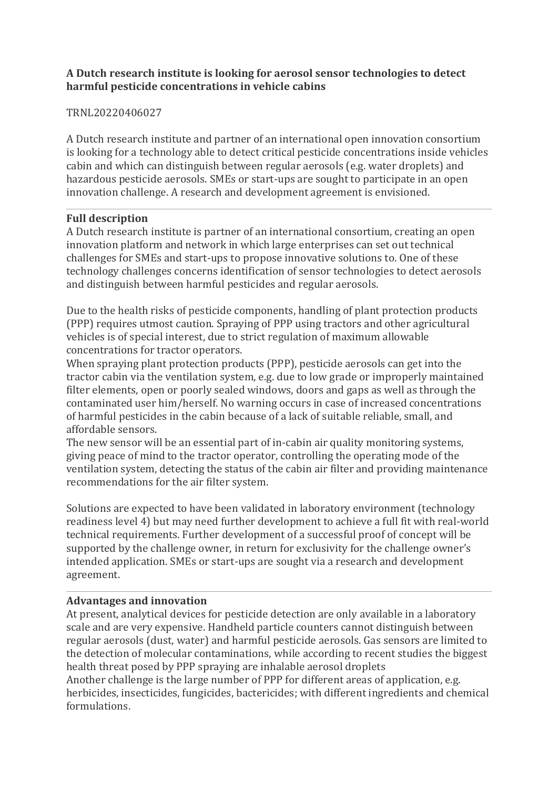## **A Dutch research institute is looking for aerosol sensor technologies to detect harmful pesticide concentrations in vehicle cabins**

## TRNL20220406027

A Dutch research institute and partner of an international open innovation consortium is looking for a technology able to detect critical pesticide concentrations inside vehicles cabin and which can distinguish between regular aerosols (e.g. water droplets) and hazardous pesticide aerosols. SMEs or start-ups are sought to participate in an open innovation challenge. A research and development agreement is envisioned.

### **Full description**

A Dutch research institute is partner of an international consortium, creating an open innovation platform and network in which large enterprises can set out technical challenges for SMEs and start-ups to propose innovative solutions to. One of these technology challenges concerns identification of sensor technologies to detect aerosols and distinguish between harmful pesticides and regular aerosols.

Due to the health risks of pesticide components, handling of plant protection products (PPP) requires utmost caution. Spraying of PPP using tractors and other agricultural vehicles is of special interest, due to strict regulation of maximum allowable concentrations for tractor operators.

When spraying plant protection products (PPP), pesticide aerosols can get into the tractor cabin via the ventilation system, e.g. due to low grade or improperly maintained filter elements, open or poorly sealed windows, doors and gaps as well as through the contaminated user him/herself. No warning occurs in case of increased concentrations of harmful pesticides in the cabin because of a lack of suitable reliable, small, and affordable sensors.

The new sensor will be an essential part of in-cabin air quality monitoring systems, giving peace of mind to the tractor operator, controlling the operating mode of the ventilation system, detecting the status of the cabin air filter and providing maintenance recommendations for the air filter system.

Solutions are expected to have been validated in laboratory environment (technology readiness level 4) but may need further development to achieve a full fit with real-world technical requirements. Further development of a successful proof of concept will be supported by the challenge owner, in return for exclusivity for the challenge owner's intended application. SMEs or start-ups are sought via a research and development agreement.

## **Advantages and innovation**

At present, analytical devices for pesticide detection are only available in a laboratory scale and are very expensive. Handheld particle counters cannot distinguish between regular aerosols (dust, water) and harmful pesticide aerosols. Gas sensors are limited to the detection of molecular contaminations, while according to recent studies the biggest health threat posed by PPP spraying are inhalable aerosol droplets Another challenge is the large number of PPP for different areas of application, e.g. herbicides, insecticides, fungicides, bactericides; with different ingredients and chemical

formulations.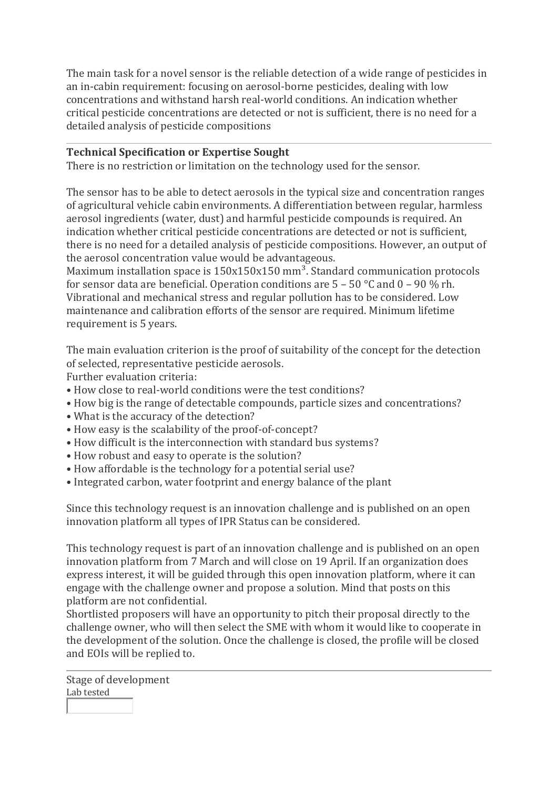The main task for a novel sensor is the reliable detection of a wide range of pesticides in an in-cabin requirement: focusing on aerosol-borne pesticides, dealing with low concentrations and withstand harsh real-world conditions. An indication whether critical pesticide concentrations are detected or not is sufficient, there is no need for a detailed analysis of pesticide compositions

### **Technical Specification or Expertise Sought**

There is no restriction or limitation on the technology used for the sensor.

The sensor has to be able to detect aerosols in the typical size and concentration ranges of agricultural vehicle cabin environments. A differentiation between regular, harmless aerosol ingredients (water, dust) and harmful pesticide compounds is required. An indication whether critical pesticide concentrations are detected or not is sufficient, there is no need for a detailed analysis of pesticide compositions. However, an output of the aerosol concentration value would be advantageous.

Maximum installation space is  $150x150x150$  mm<sup>3</sup>. Standard communication protocols for sensor data are beneficial. Operation conditions are  $5 - 50$  °C and  $0 - 90$  % rh. Vibrational and mechanical stress and regular pollution has to be considered. Low maintenance and calibration efforts of the sensor are required. Minimum lifetime requirement is 5 years.

The main evaluation criterion is the proof of suitability of the concept for the detection of selected, representative pesticide aerosols.

Further evaluation criteria:

- How close to real-world conditions were the test conditions?
- How big is the range of detectable compounds, particle sizes and concentrations?
- What is the accuracy of the detection?
- How easy is the scalability of the proof-of-concept?
- How difficult is the interconnection with standard bus systems?
- How robust and easy to operate is the solution?
- How affordable is the technology for a potential serial use?
- Integrated carbon, water footprint and energy balance of the plant

Since this technology request is an innovation challenge and is published on an open innovation platform all types of IPR Status can be considered.

This technology request is part of an innovation challenge and is published on an open innovation platform from 7 March and will close on 19 April. If an organization does express interest, it will be guided through this open innovation platform, where it can engage with the challenge owner and propose a solution. Mind that posts on this platform are not confidential.

Shortlisted proposers will have an opportunity to pitch their proposal directly to the challenge owner, who will then select the SME with whom it would like to cooperate in the development of the solution. Once the challenge is closed, the profile will be closed and EOIs will be replied to.

Stage of development Lab tested